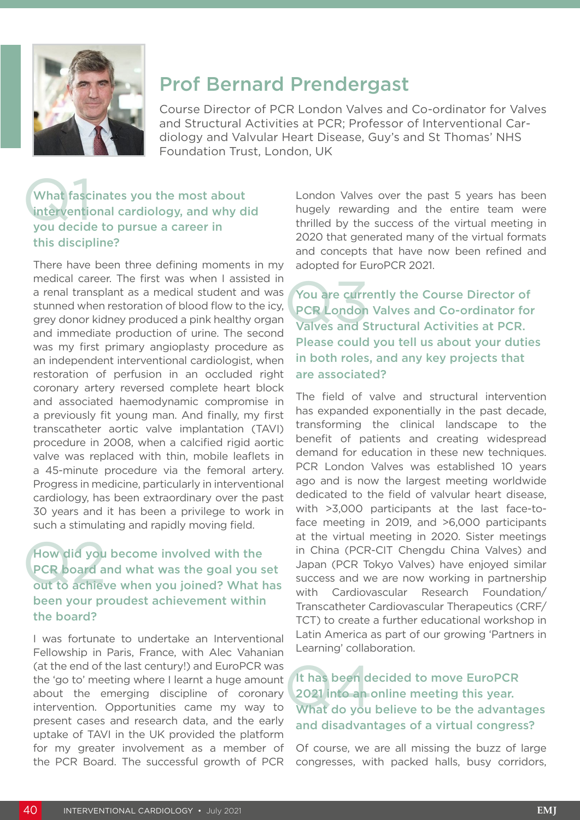

# Prof Bernard Prendergast

Course Director of PCR London Valves and Co-ordinator for Valves and Structural Activities at PCR; Professor of Interventional Cardiology and Valvular Heart Disease, Guy's and St Thomas' NHS Foundation Trust, London, UK

### What fasc<br>intervention What fascinates you the most about interventional cardiology, and why did you decide to pursue a career in this discipline?

There have been three defining moments in my medical career. The first was when I assisted in a renal transplant as a medical student and was stunned when restoration of blood flow to the icy, grey donor kidney produced a pink healthy organ and immediate production of urine. The second was my first primary angioplasty procedure as an independent interventional cardiologist, when restoration of perfusion in an occluded right coronary artery reversed complete heart block and associated haemodynamic compromise in a previously fit young man. And finally, my first transcatheter aortic valve implantation (TAVI) procedure in 2008, when a calcified rigid aortic valve was replaced with thin, mobile leaflets in a 45-minute procedure via the femoral artery. Progress in medicine, particularly in interventional cardiology, has been extraordinary over the past 30 years and it has been a privilege to work in such a stimulating and rapidly moving field.

#### How did you<br>PCR board a<br>out to achiev How did you become involved with the PCR board and what was the goal you set out to achieve when you joined? What has been your proudest achievement within the board?

I was fortunate to undertake an Interventional Fellowship in Paris, France, with Alec Vahanian (at the end of the last century!) and EuroPCR was the 'go to' meeting where I learnt a huge amount about the emerging discipline of coronary intervention. Opportunities came my way to present cases and research data, and the early uptake of TAVI in the UK provided the platform for my greater involvement as a member of the PCR Board. The successful growth of PCR

London Valves over the past 5 years has been hugely rewarding and the entire team were thrilled by the success of the virtual meeting in 2020 that generated many of the virtual formats and concepts that have now been refined and adopted for EuroPCR 2021.

You are curre<br>PCR London<br>Valves and S You are currently the Course Director of PCR London Valves and Co-ordinator for Valves and Structural Activities at PCR. Please could you tell us about your duties in both roles, and any key projects that are associated?

The field of valve and structural intervention has expanded exponentially in the past decade, transforming the clinical landscape to the benefit of patients and creating widespread demand for education in these new techniques. PCR London Valves was established 10 years ago and is now the largest meeting worldwide dedicated to the field of valvular heart disease, with >3,000 participants at the last face-toface meeting in 2019, and >6,000 participants at the virtual meeting in 2020. Sister meetings in China (PCR-CIT Chengdu China Valves) and Japan (PCR Tokyo Valves) have enjoyed similar success and we are now working in partnership with Cardiovascular Research Foundation/ Transcatheter Cardiovascular Therapeutics (CRF/ TCT) to create a further educational workshop in Latin America as part of our growing 'Partners in Learning' collaboration.

#### It has been d<br>2021 into an<br>What do you It has been decided to move EuroPCR 2021 into an online meeting this year. What do you believe to be the advantages and disadvantages of a virtual congress?

Of course, we are all missing the buzz of large congresses, with packed halls, busy corridors,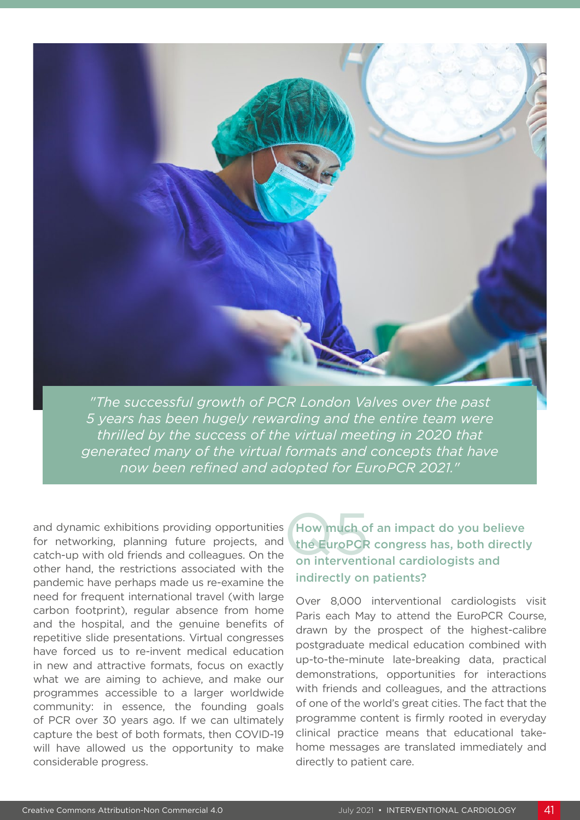

*"The successful growth of PCR London Valves over the past 5 years has been hugely rewarding and the entire team were thrilled by the success of the virtual meeting in 2020 that generated many of the virtual formats and concepts that have now been refined and adopted for EuroPCR 2021."*

and dynamic exhibitions providing opportunities<br>for networking, planning future projects, and the EuroPCR<br>catch-up with old friends and colleagues. On the on interventi for networking, planning future projects, and catch-up with old friends and colleagues. On the other hand, the restrictions associated with the pandemic have perhaps made us re-examine the need for frequent international travel (with large carbon footprint), regular absence from home and the hospital, and the genuine benefits of repetitive slide presentations. Virtual congresses have forced us to re-invent medical education in new and attractive formats, focus on exactly what we are aiming to achieve, and make our programmes accessible to a larger worldwide community: in essence, the founding goals of PCR over 30 years ago. If we can ultimately capture the best of both formats, then COVID-19 will have allowed us the opportunity to make considerable progress.

How much of an impact do you believe the EuroPCR congress has, both directly on interventional cardiologists and indirectly on patients?

Over 8,000 interventional cardiologists visit Paris each May to attend the EuroPCR Course, drawn by the prospect of the highest-calibre postgraduate medical education combined with up-to-the-minute late-breaking data, practical demonstrations, opportunities for interactions with friends and colleagues, and the attractions of one of the world's great cities. The fact that the programme content is firmly rooted in everyday clinical practice means that educational takehome messages are translated immediately and directly to patient care.